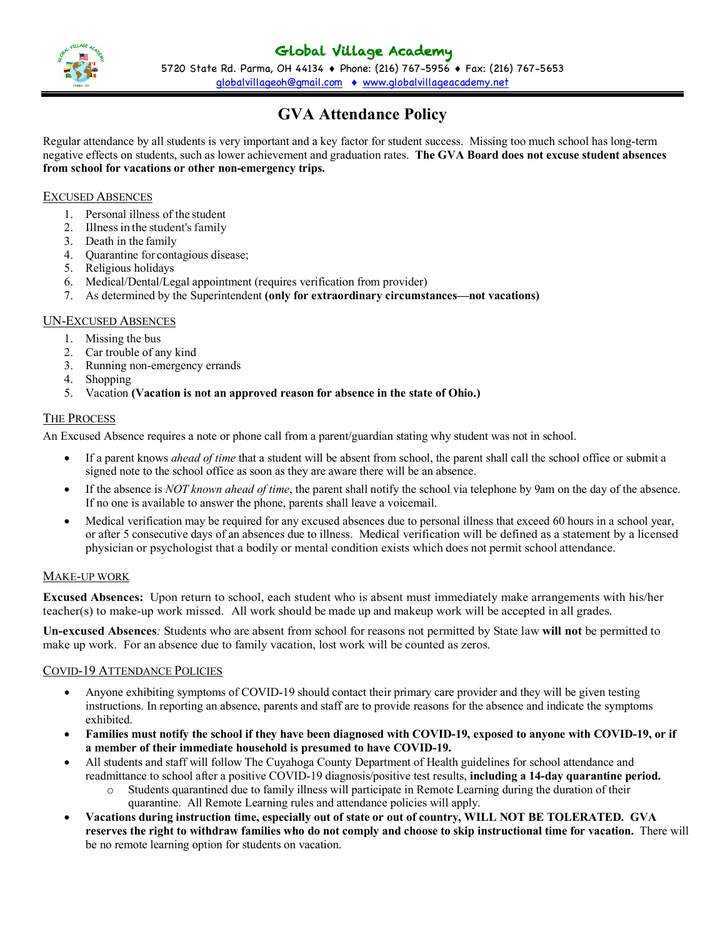

5720 State Rd. Parma, OH 44134 ♦ Phone: (216) 767-5956 ♦ Fax: (216) 767-5653 globalvillageoh@gmail.com • www.globalvillageacademy.net

# **GVA Attendance Policy**

Regular attendance by all students is very important and a key factor for student success. Missing too much school has long-term negative effects on students, such as lower achievement and graduation rates. **The GVA Board does not excuse student absences from school for vacations or other non-emergency trips.**

# EXCUSED ABSENCES

- 1. Personal illness of the student
- 2. Illness in the student's family
- 3. Death in the family
- 4. Quarantine for contagious disease;
- 5. Religious holidays
- 6. Medical/Dental/Legal appointment (requires verification from provider)
- 7. As determined by the Superintendent **(only for extraordinary circumstances—not vacations)**

# UN-EXCUSED ABSENCES

- 1. Missing the bus
- 2. Car trouble of any kind
- 3. Running non-emergency errands
- 4. Shopping
- 5. Vacation **(Vacation is not an approved reason for absence in the state of Ohio.)**

# THE PROCESS

An Excused Absence requires a note or phone call from a parent/guardian stating why student was not in school.

- If a parent knows *ahead of time* that a student will be absent from school, the parent shall call the school office or submit a signed note to the school office as soon as they are aware there will be an absence.
- If the absence is *NOT known ahead of time*, the parent shall notify the school via telephone by 9am on the day of the absence. If no one is available to answer the phone, parents shall leave a voicemail.
- Medical verification may be required for any excused absences due to personal illness that exceed 60 hours in a school year, or after 5 consecutive days of an absences due to illness. Medical verification will be defined as a statement by a licensed physician or psychologist that a bodily or mental condition exists which does not permit school attendance.

## MAKE-UP WORK

**Excused Absences:** Upon return to school, each student who is absent must immediately make arrangements with his/her teacher(s) to make-up work missed. All work should be made up and makeup work will be accepted in all grades.

**Un-excused Absences***:* Students who are absent from school for reasons not permitted by State law **will not** be permitted to make up work. For an absence due to family vacation, lost work will be counted as zeros.

## COVID-19 ATTENDANCE POLICIES

- Anyone exhibiting symptoms of COVID-19 should contact their primary care provider and they will be given testing instructions. In reporting an absence, parents and staff are to provide reasons for the absence and indicate the symptoms exhibited.
- **Families must notify the school if they have been diagnosed with COVID-19, exposed to anyone with COVID-19, or if a member of their immediate household is presumed to have COVID-19.**
- All students and staff will follow The Cuyahoga County Department of Health guidelines for school attendance and readmittance to school after a positive COVID-19 diagnosis/positive test results, **including a 14-day quarantine period.**
	- o Students quarantined due to family illness will participate in Remote Learning during the duration of their quarantine. All Remote Learning rules and attendance policies will apply.
- **Vacations during instruction time, especially out of state or out of country, WILL NOT BE TOLERATED. GVA reserves the right to withdraw families who do not comply and choose to skip instructional time for vacation.** There will be no remote learning option for students on vacation.